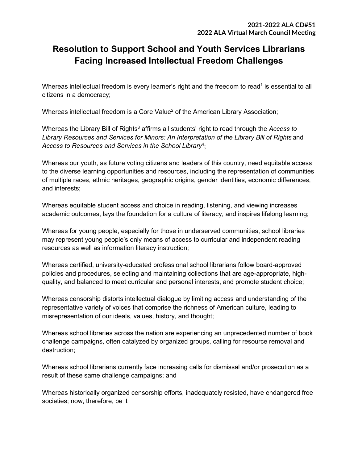# **Resolution to Support School and Youth Services Librarians Facing Increased Intellectual Freedom Challenges**

Whereas intellectual freedom is every learner's right and the freedom to read<sup>1</sup> is essential to all citizens in a democracy;

Whereas intellectual freedom is a Core Value<sup>2</sup> of the American Library Association;

Whereas the Library Bill of Rights<sup>3</sup> affirms all students' right to read through the *Access to Library Resources and Services for Minors: An Interpretation of the Library Bill of Rights* and Access to Resources and Services in the School Library<sup>4</sup><u>:</u>

Whereas our youth, as future voting citizens and leaders of this country, need equitable access to the diverse learning opportunities and resources, including the representation of communities of multiple races, ethnic heritages, geographic origins, gender identities, economic differences, and interests;

Whereas equitable student access and choice in reading, listening, and viewing increases academic outcomes, lays the foundation for a culture of literacy, and inspires lifelong learning;

Whereas for young people, especially for those in underserved communities, school libraries may represent young people's only means of access to curricular and independent reading resources as well as information literacy instruction;

Whereas certified, university-educated professional school librarians follow board-approved policies and procedures, selecting and maintaining collections that are age-appropriate, highquality, and balanced to meet curricular and personal interests, and promote student choice;

Whereas censorship distorts intellectual dialogue by limiting access and understanding of the representative variety of voices that comprise the richness of American culture, leading to misrepresentation of our ideals, values, history, and thought;

Whereas school libraries across the nation are experiencing an unprecedented number of book challenge campaigns, often catalyzed by organized groups, calling for resource removal and destruction;

Whereas school librarians currently face increasing calls for dismissal and/or prosecution as a result of these same challenge campaigns; and

Whereas historically organized censorship efforts, inadequately resisted, have endangered free societies; now, therefore, be it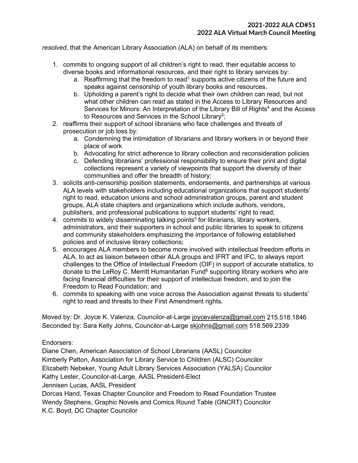*resolved*, that the American Library Association (ALA) on behalf of its members:

- 1. commits to ongoing support of all children's right to read, their equitable access to diverse books and informational resources, and their right to library services by:
	- a. Reaffirming that the freedom to read<sup>1</sup> supports active citizens of the future and speaks against censorship of youth library books and resources.
	- b. Upholding a parent's right to decide what their own children can read, but not what other children can read as stated in the Access to Library Resources and Services for Minors: An Interpretation of the Library Bill of Rights<sup>4</sup> and the Access to Resources and Services in the School Library $^{5};$
- 2. reaffirms their support of school librarians who face challenges and threats of prosecution or job loss by:
	- a. Condemning the intimidation of librarians and library workers in or beyond their place of work
	- b. Advocating for strict adherence to library collection and reconsideration policies
	- c. Defending librarians' professional responsibility to ensure their print and digital collections represent a variety of viewpoints that support the diversity of their communities and offer the breadth of history;
- 3. solicits anti-censorship position statements, endorsements, and partnerships at various ALA levels with stakeholders including educational organizations that support students' right to read, education unions and school administration groups, parent and student groups, ALA state chapters and organizations which include authors, vendors, publishers, and professional publications to support students' right to read;
- 4. commits to widely disseminating talking points<sup>5</sup> for librarians, library workers, administrators, and their supporters in school and public libraries to speak to citizens and community stakeholders emphasizing the importance of following established policies and of inclusive library collections;
- 5. encourages ALA members to become more involved with intellectual freedom efforts in ALA, to act as liaison between other ALA groups and IFRT and IFC, to always report challenges to the Office of Intellectual Freedom (OIF) in support of accurate statistics, to donate to the LeRoy C. Merritt Humanitarian Fund $<sup>6</sup>$  supporting library workers who are</sup> facing financial difficulties for their support of intellectual freedom, and to join the Freedom to Read Foundation; and
- 6. commits to speaking with one voice across the Association against threats to students' right to read and threats to their First Amendment rights.

Moved by: Dr. Joyce K. Valenza, Councilor-at-Large [joycevalenza@gmail.com](mailto:joycevalenza@gmail.com) 215.518.1846 Seconded by: Sara Kelly Johns, Councilor-at-Large [skjohns@gmail.com](mailto:skjohns@gmail.com) 518.569.2339

#### Endorsers:

Diane Chen, American Association of School Librarians (AASL) Councilor Kimberly Patton, Association for Library Service to Children (ALSC) Councilor Elizabeth Nebeker, Young Adult Library Services Association (YALSA) Councilor Kathy Lester, Councilor-at-Large, AASL President-Elect Jennisen Lucas, AASL President

Dorcas Hand, Texas Chapter Councilor and Freedom to Read Foundation Trustee Wendy Stephens, Graphic Novels and Comics Round Table (GNCRT) Councilor K.C. Boyd, DC Chapter Councilor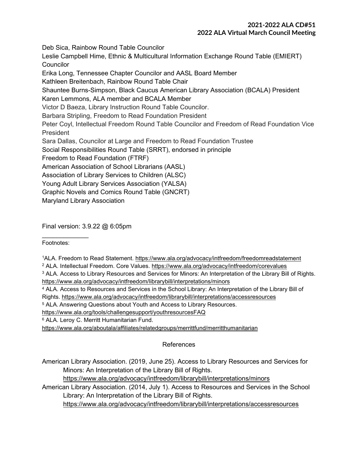## **2021-2022 ALA CD#51 2022 ALA Virtual March Council Meeting**

Deb Sica, Rainbow Round Table Councilor

Leslie Campbell Hime, Ethnic & Multicultural Information Exchange Round Table (EMIERT) **Councilor** 

Erika Long, Tennessee Chapter Councilor and AASL Board Member

Kathleen Breitenbach, Rainbow Round Table Chair

Shauntee Burns-Simpson, Black Caucus American Library Association (BCALA) President

Karen Lemmons, ALA member and BCALA Member

Victor D Baeza, Library Instruction Round Table Councilor.

Barbara Stripling, Freedom to Read Foundation President

Peter Coyl, Intellectual Freedom Round Table Councilor and Freedom of Read Foundation Vice President

Sara Dallas, Councilor at Large and Freedom to Read Foundation Trustee

Social Responsibilities Round Table (SRRT), endorsed in principle

Freedom to Read Foundation (FTRF)

American Association of School Librarians (AASL)

Association of Library Services to Children (ALSC)

Young Adult Library Services Association (YALSA)

Graphic Novels and Comics Round Table (GNCRT)

Maryland Library Association

Final version: 3.9.22 @ 6:05pm

Footnotes:

 $\frac{1}{2}$ 

1ALA. Freedom to Read Statement.<https://www.ala.org/advocacy/intfreedom/freedomreadstatement>

- <sup>2</sup> ALA. Intellectual Freedom. Core Values.<https://www.ala.org/advocacy/intfreedom/corevalues>
- <sup>3</sup> ALA. Access to Library Resources and Services for Minors: An Interpretation of the Library Bill of Rights. <https://www.ala.org/advocacy/intfreedom/librarybill/interpretations/minors>
- <sup>4</sup> ALA. Access to Resources and Services in the School Library: An Interpretation of the Library Bill of

Rights.<https://www.ala.org/advocacy/intfreedom/librarybill/interpretations/accessresources>

<sup>5</sup> ALA. Answering Questions about Youth and Access to Library Resources.

<https://www.ala.org/tools/challengesupport/youthresourcesFAQ>

<sup>6</sup> ALA. Leroy C. Merritt Humanitarian Fund.

<https://www.ala.org/aboutala/affiliates/relatedgroups/merrittfund/merritthumanitarian>

## References

American Library Association. (2019, June 25). Access to Library Resources and Services for Minors: An Interpretation of the Library Bill of Rights.

<https://www.ala.org/advocacy/intfreedom/librarybill/interpretations/minors>

American Library Association. (2014, July 1). Access to Resources and Services in the School Library: An Interpretation of the Library Bill of Rights.

<https://www.ala.org/advocacy/intfreedom/librarybill/interpretations/accessresources>